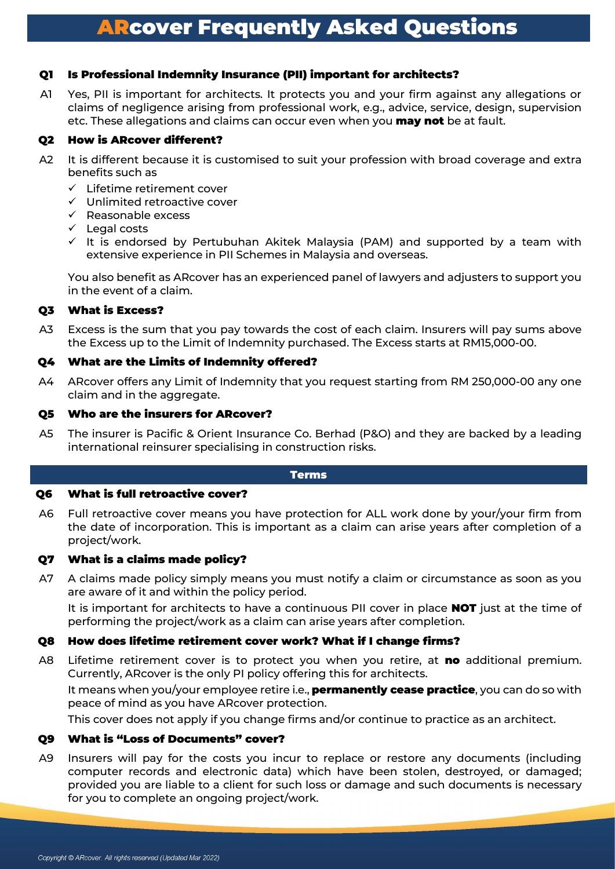# Q1 Is Professional Indemnity Insurance (PII) important for architects?

A1 Yes, PII is important for architects. It protects you and your firm against any allegations or claims of negligence arising from professional work, e.g., advice, service, design, supervision etc. These allegations and claims can occur even when you **may not** be at fault.

## Q2 How is ARcover different?

- A2 It is different because it is customised to suit your profession with broad coverage and extra benefits such as
	- $\checkmark$  Lifetime retirement cover
	- $\checkmark$  Unlimited retroactive cover
	- $\checkmark$  Reasonable excess
	- $\checkmark$  Legal costs
	- $\checkmark$  It is endorsed by Pertubuhan Akitek Malaysia (PAM) and supported by a team with extensive experience in PII Schemes in Malaysia and overseas.

You also benefit as ARcover has an experienced panel of lawyers and adjusters to support you in the event of a claim.

# Q3 What is Excess?

A3 Excess is the sum that you pay towards the cost of each claim. Insurers will pay sums above the Excess up to the Limit of Indemnity purchased. The Excess starts at RM15,000-00.

### Q4 What are the Limits of Indemnity offered?

A4 ARcover offers any Limit of Indemnity that you request starting from RM 250,000-00 any one claim and in the aggregate.

### Q5 Who are the insurers for ARcover?

A5 The insurer is Pacific & Orient Insurance Co. Berhad (P&O) and they are backed by a leading international reinsurer specialising in construction risks.

#### Terms

### Q6 What is full retroactive cover?

A6 Full retroactive cover means you have protection for ALL work done by your/your firm from the date of incorporation. This is important as a claim can arise years after completion of a project/work.

### Q7 What is a claims made policy?

A7 A claims made policy simply means you must notify a claim or circumstance as soon as you are aware of it and within the policy period.

It is important for architects to have a continuous PII cover in place **NOT** just at the time of performing the project/work as a claim can arise years after completion.

# Q8 How does lifetime retirement cover work? What if I change firms?

A8 Lifetime retirement cover is to protect you when you retire, at no additional premium. Currently, ARcover is the only PI policy offering this for architects.

It means when you/your employee retire i.e., **permanently cease practice**, you can do so with peace of mind as you have ARcover protection.

This cover does not apply if you change firms and/or continue to practice as an architect.

### Q9 What is "Loss of Documents" cover?

A9 Insurers will pay for the costs you incur to replace or restore any documents (including computer records and electronic data) which have been stolen, destroyed, or damaged; provided you are liable to a client for such loss or damage and such documents is necessary for you to complete an ongoing project/work.